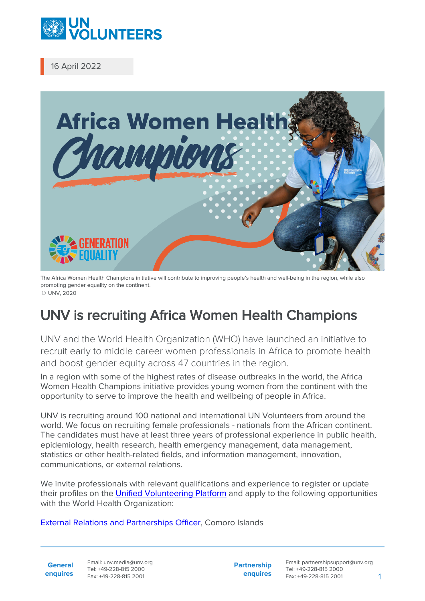

16 April 2022



The Africa Women Health Champions initiative will contribute to improving people's health and well-being in the region, while also promoting gender equality on the continent. © UNV, 2020

## UNV is recruiting Africa Women Health Champions

UNV and the World Health Organization (WHO) have launched an initiative to recruit early to middle career women professionals in Africa to promote health and boost gender equity across 47 countries in the region.

In a region with some of the highest rates of disease outbreaks in the world, the Africa Women Health Champions initiative provides young women from the continent with the opportunity to serve to improve the health and wellbeing of people in Africa.

UNV is recruiting around 100 national and international UN Volunteers from around the world. We focus on recruiting female professionals - nationals from the African continent. The candidates must have at least three years of professional experience in public health, epidemiology, health research, health emergency management, data management, statistics or other health-related fields, and information management, innovation, communications, or external relations.

We invite professionals with relevant qualifications and experience to register or update their profiles on the [Unified Volunteering Platform](https://app.unv.org/) and apply to the following opportunities with the World Health Organization:

[External Relations and Partnerships Officer,](https://app.unv.org/opportunities/1688855532810496) Comoro Islands

**General enquires**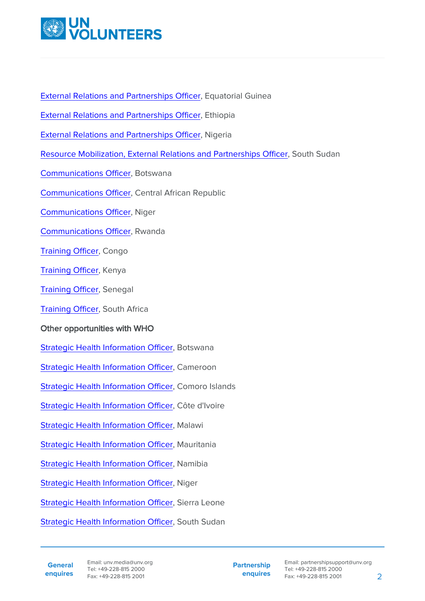

[External Relations and Partnerships Officer,](https://app.unv.org/opportunities/1688828000085248) Equatorial Guinea

[External Relations and Partnerships Officer,](https://app.unv.org/opportunities/1688827599790336) Ethiopia

[External Relations and Partnerships Officer,](https://app.unv.org/opportunities/1688753998585088) Nigeria

[Resource Mobilization, External Relations and Partnerships Officer](https://app.unv.org/opportunities/1689520919342336), South Sudan

[Communications Officer](https://app.unv.org/opportunities/1688996149874944), Botswana

[Communications Officer](https://app.unv.org/opportunities/1689355461071104), Central African Republic

[Communications Officer](https://app.unv.org/opportunities/1688661113027840), Niger

[Communications Officer](https://app.unv.org/opportunities/1689877180383488), Rwanda

[Training Officer](https://app.unv.org/opportunities/1688760967740672), Congo

[Training Officer](https://app.unv.org/opportunities/1688843798514944), Kenya

[Training Officer](https://app.unv.org/opportunities/1688932748545280), Senegal

[Training Officer](https://app.unv.org/opportunities/1689273188961536), South Africa

## Other opportunities with WHO

[Strategic Health Information Officer,](https://app.unv.org/opportunities/1689260590677248) Botswana

[Strategic Health Information Officer,](https://app.unv.org/opportunities/1689011843867904) Cameroon

[Strategic Health Information Officer,](https://app.unv.org/opportunities/1688414521029888) Comoro Islands

[Strategic Health Information Officer,](https://app.unv.org/opportunities/1688994343117056) Côte d'Ivoire

[Strategic Health Information Officer,](https://app.unv.org/opportunities/1689001583176960) Malawi

[Strategic Health Information Officer,](https://app.unv.org/opportunities/1688992254504192) Mauritania

[Strategic Health Information Officer,](https://app.unv.org/opportunities/1689446646817024) Namibia

[Strategic Health Information Officer,](https://app.unv.org/opportunities/1689005569123584) Niger

[Strategic Health Information Officer,](https://app.unv.org/opportunities/1689372989828352) Sierra Leone

[Strategic Health Information Officer,](https://app.unv.org/opportunities/1688999123580160) South Sudan

**Partnership enquires**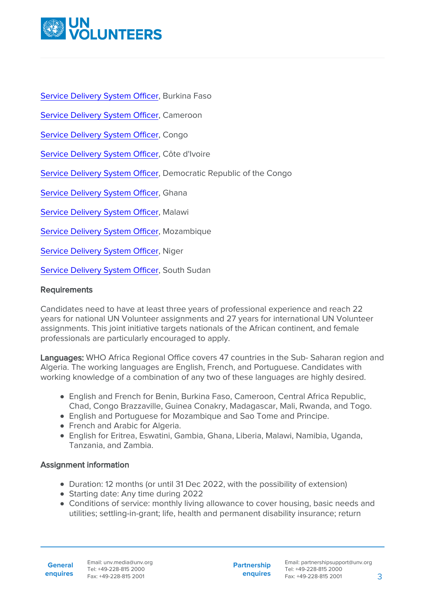

[Service Delivery System Officer](https://app.unv.org/opportunities/1688997488572672), Burkina Faso

[Service Delivery System Officer](https://app.unv.org/opportunities/1689009575042304), Cameroon

[Service Delivery System Officer](https://app.unv.org/opportunities/1689018989822208), Congo

[Service Delivery System Officer](https://app.unv.org/opportunities/1689023957935360), Côte d'Ivoire

[Service Delivery System Officer](https://app.unv.org/opportunities/1689014652953856), Democratic Republic of the Congo

[Service Delivery System Officer](https://app.unv.org/opportunities/1688945115178240), Ghana

[Service Delivery System Officer](https://app.unv.org/opportunities/1689000149452032), Malawi

[Service Delivery System Officer](https://app.unv.org/opportunities/1689012980214016), Mozambique

[Service Delivery System Officer](https://app.unv.org/opportunities/1689012225582336), Niger

[Service Delivery System Officer](https://app.unv.org/opportunities/1689001527493888), South Sudan

## **Requirements**

Candidates need to have at least three years of professional experience and reach 22 years for national UN Volunteer assignments and 27 years for international UN Volunteer assignments. This joint initiative targets nationals of the African continent, and female professionals are particularly encouraged to apply.

Languages: WHO Africa Regional Office covers 47 countries in the Sub- Saharan region and Algeria. The working languages are English, French, and Portuguese. Candidates with working knowledge of a combination of any two of these languages are highly desired.

- **English and French for Benin, Burkina Faso, Cameroon, Central Africa Republic,** Chad, Congo Brazzaville, Guinea Conakry, Madagascar, Mali, Rwanda, and Togo.
- English and Portuguese for Mozambique and Sao Tome and Principe.
- French and Arabic for Algeria.
- English for Eritrea, Eswatini, Gambia, Ghana, Liberia, Malawi, Namibia, Uganda, Tanzania, and Zambia.

## Assignment information

- Duration: 12 months (or until 31 Dec 2022, with the possibility of extension)
- Starting date: Any time during 2022
- Conditions of service: monthly living allowance to cover housing, basic needs and utilities; settling-in-grant; life, health and permanent disability insurance; return

**General enquires**